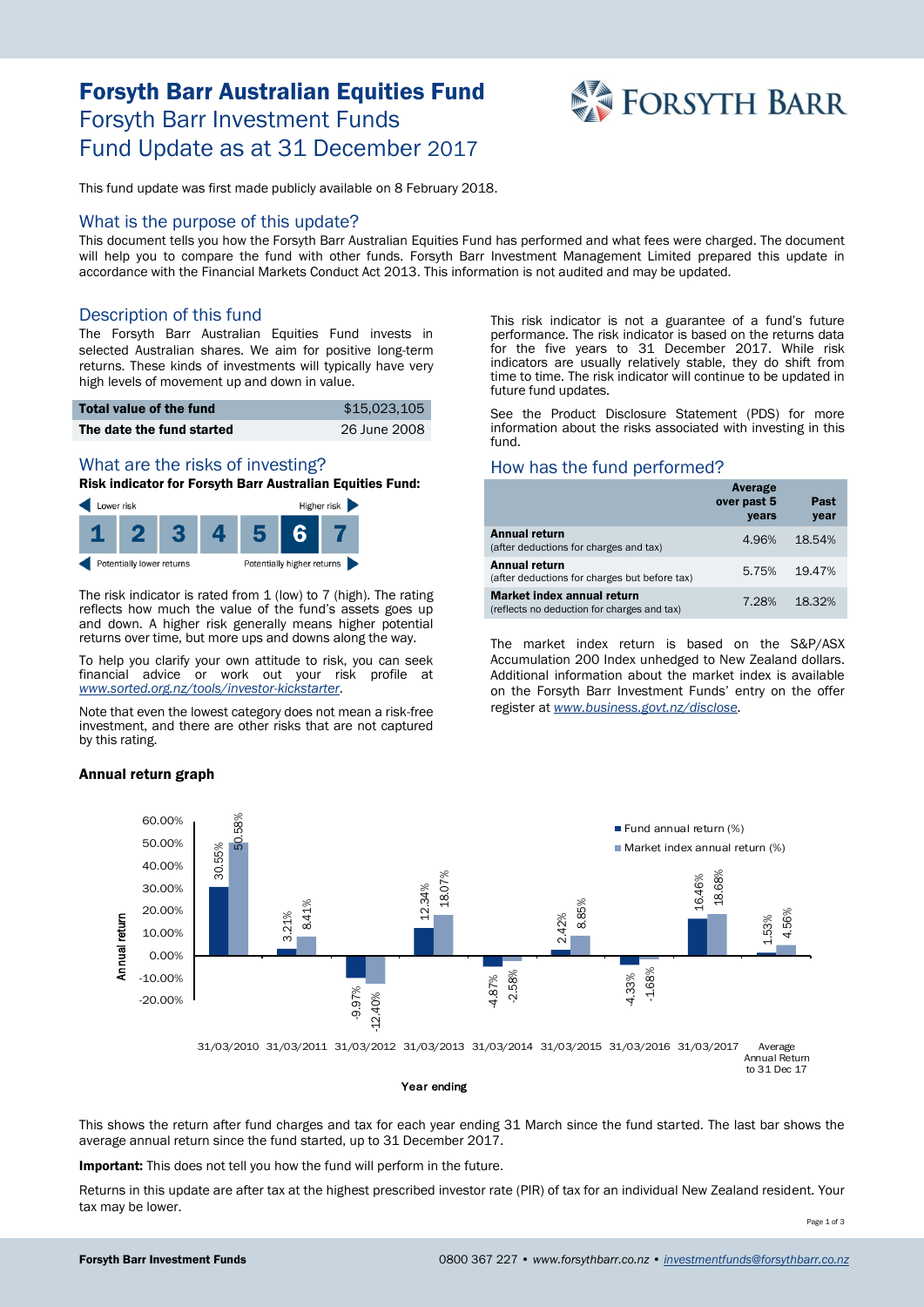# Forsyth Barr Australian Equities Fund Forsyth Barr Investment Funds Fund Update as at 31 December 2017



This fund update was first made publicly available on 8 February 2018.

#### What is the purpose of this update?

This document tells you how the Forsyth Barr Australian Equities Fund has performed and what fees were charged. The document will help you to compare the fund with other funds. Forsyth Barr Investment Management Limited prepared this update in accordance with the Financial Markets Conduct Act 2013. This information is not audited and may be updated.

## Description of this fund

The Forsyth Barr Australian Equities Fund invests in selected Australian shares. We aim for positive long-term returns. These kinds of investments will typically have very high levels of movement up and down in value.

| Total value of the fund   | \$15,023,105 |
|---------------------------|--------------|
| The date the fund started | 26 June 2008 |

## What are the risks of investing?

Risk indicator for Forsyth Barr Australian Equities Fund:



The risk indicator is rated from 1 (low) to 7 (high). The rating reflects how much the value of the fund's assets goes up and down. A higher risk generally means higher potential returns over time, but more ups and downs along the way.

To help you clarify your own attitude to risk, you can seek financial advice or work out your risk profile at *[www.sorted.org.nz/tools/investor-kickstarter](http://www.sorted.org.nz/tools/investor-kickstarter)*.

Note that even the lowest category does not mean a risk-free investment, and there are other risks that are not captured by this rating.

#### Annual return graph

This risk indicator is not a guarantee of a fund's future performance. The risk indicator is based on the returns data for the five years to 31 December 2017. While risk indicators are usually relatively stable, they do shift from time to time. The risk indicator will continue to be updated in future fund updates.

See the Product Disclosure Statement (PDS) for more information about the risks associated with investing in this fund.

## How has the fund performed?

|                                                                                  | Average<br>over past 5<br>years | Past<br>year |
|----------------------------------------------------------------------------------|---------------------------------|--------------|
| <b>Annual return</b><br>(after deductions for charges and tax)                   | 4.96%                           | 18.54%       |
| Annual return<br>(after deductions for charges but before tax)                   | 5.75%                           | 19.47%       |
| <b>Market index annual return</b><br>(reflects no deduction for charges and tax) | 7.28%                           | 18.32%       |

The market index return is based on the S&P/ASX Accumulation 200 Index unhedged to New Zealand dollars. Additional information about the market index is available on the Forsyth Barr Investment Funds' entry on the offer register at *[www.business.govt.nz/disclose.](http://www.business.govt.nz/disclose)*



This shows the return after fund charges and tax for each year ending 31 March since the fund started. The last bar shows the average annual return since the fund started, up to 31 December 2017.

Important: This does not tell you how the fund will perform in the future.

Returns in this update are after tax at the highest prescribed investor rate (PIR) of tax for an individual New Zealand resident. Your tax may be lower.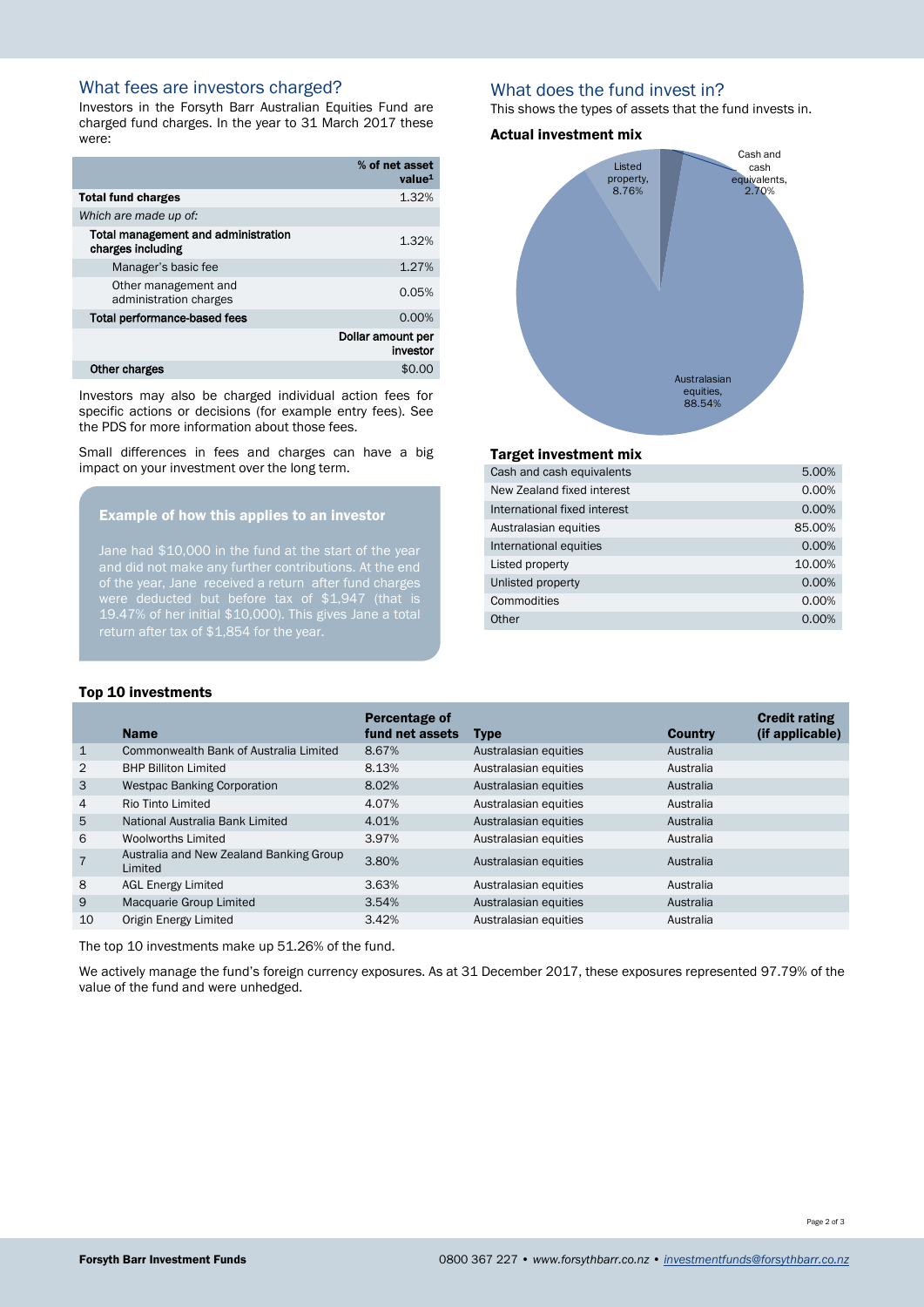# What fees are investors charged?

Investors in the Forsyth Barr Australian Equities Fund are charged fund charges. In the year to 31 March 2017 these were:

|                                                          | % of net asset<br>value <sup>1</sup> |
|----------------------------------------------------------|--------------------------------------|
| <b>Total fund charges</b>                                | 1.32%                                |
| Which are made up of:                                    |                                      |
| Total management and administration<br>charges including | 1.32%                                |
| Manager's basic fee                                      | 1.27%                                |
| Other management and<br>administration charges           | 0.05%                                |
| Total performance-based fees                             | 0.00%                                |
|                                                          | Dollar amount per<br>investor        |
| Other charges                                            | \$0.0                                |

Investors may also be charged individual action fees for specific actions or decisions (for example entry fees). See the PDS for more information about those fees.

Small differences in fees and charges can have a big impact on your investment over the long term.

#### Example of how this applies to an investor

Jane had \$10,000 in the fund at the start of the year of the year, Jane received a return after fund charges 19.47% of her initial \$10,000). This gives Jane a total return after tax of \$1,854 for the year.

## What does the fund invest in?

This shows the types of assets that the fund invests in.

#### Actual investment mix



#### Target investment mix

| Cash and cash equivalents    | 5.00%  |
|------------------------------|--------|
| New Zealand fixed interest   | 0.00%  |
| International fixed interest | 0.00%  |
| Australasian equities        | 85.00% |
| International equities       | 0.00%  |
| Listed property              | 10.00% |
| Unlisted property            | 0.00%  |
| Commodities                  | 0.00%  |
| Other                        | 0.00%  |

#### Top 10 investments

|                | <b>Name</b>                                        | Percentage of<br>fund net assets | <b>Type</b>           | <b>Country</b> | <b>Credit rating</b><br>(if applicable) |
|----------------|----------------------------------------------------|----------------------------------|-----------------------|----------------|-----------------------------------------|
| $\mathbf{1}$   | Commonwealth Bank of Australia Limited             | 8.67%                            | Australasian equities | Australia      |                                         |
| 2              | <b>BHP Billiton Limited</b>                        | 8.13%                            | Australasian equities | Australia      |                                         |
| 3              | <b>Westpac Banking Corporation</b>                 | 8.02%                            | Australasian equities | Australia      |                                         |
| 4              | Rio Tinto Limited                                  | 4.07%                            | Australasian equities | Australia      |                                         |
| 5              | National Australia Bank Limited                    | 4.01%                            | Australasian equities | Australia      |                                         |
| 6              | <b>Woolworths Limited</b>                          | 3.97%                            | Australasian equities | Australia      |                                         |
| $\overline{7}$ | Australia and New Zealand Banking Group<br>Limited | 3.80%                            | Australasian equities | Australia      |                                         |
| 8              | <b>AGL Energy Limited</b>                          | 3.63%                            | Australasian equities | Australia      |                                         |
| 9              | Macquarie Group Limited                            | 3.54%                            | Australasian equities | Australia      |                                         |
| 10             | Origin Energy Limited                              | 3.42%                            | Australasian equities | Australia      |                                         |
|                |                                                    |                                  |                       |                |                                         |

The top 10 investments make up 51.26% of the fund.

We actively manage the fund's foreign currency exposures. As at 31 December 2017, these exposures represented 97.79% of the value of the fund and were unhedged.